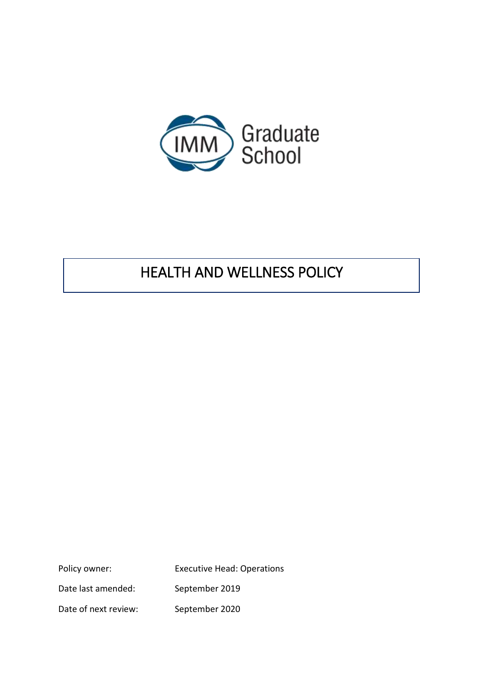

# HEALTH AND WELLNESS POLICY

Policy owner: Executive Head: Operations Date last amended: September 2019 Date of next review: September 2020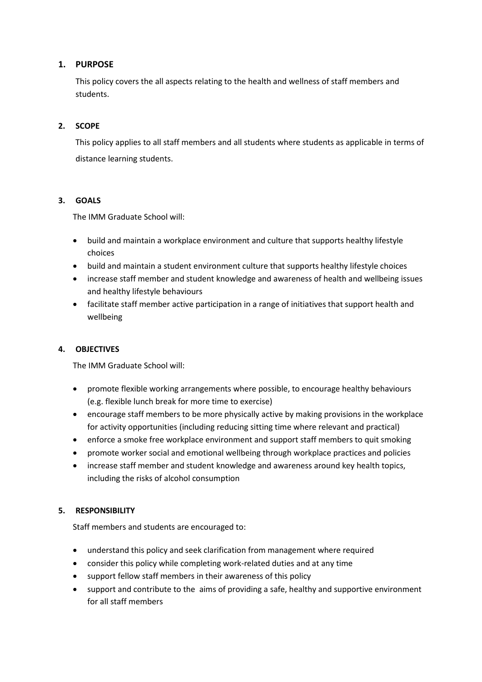## **1. PURPOSE**

This policy covers the all aspects relating to the health and wellness of staff members and students.

## **2. SCOPE**

This policy applies to all staff members and all students where students as applicable in terms of distance learning students.

## **3. GOALS**

The IMM Graduate School will:

- build and maintain a workplace environment and culture that supports healthy lifestyle choices
- build and maintain a student environment culture that supports healthy lifestyle choices
- increase staff member and student knowledge and awareness of health and wellbeing issues and healthy lifestyle behaviours
- facilitate staff member active participation in a range of initiatives that support health and wellbeing

## **4. OBJECTIVES**

The IMM Graduate School will:

- promote flexible working arrangements where possible, to encourage healthy behaviours (e.g. flexible lunch break for more time to exercise)
- encourage staff members to be more physically active by making provisions in the workplace for activity opportunities (including reducing sitting time where relevant and practical)
- enforce a smoke free workplace environment and support staff members to quit smoking
- promote worker social and emotional wellbeing through workplace practices and policies
- increase staff member and student knowledge and awareness around key health topics, including the risks of alcohol consumption

## **5. RESPONSIBILITY**

Staff members and students are encouraged to:

- understand this policy and seek clarification from management where required
- consider this policy while completing work-related duties and at any time
- support fellow staff members in their awareness of this policy
- support and contribute to the aims of providing a safe, healthy and supportive environment for all staff members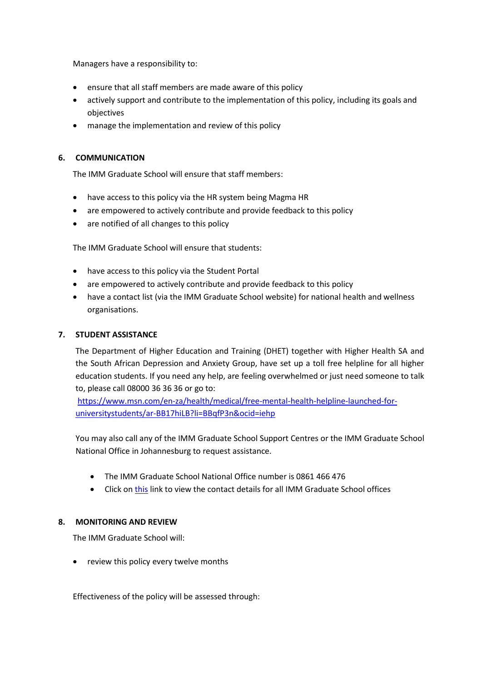Managers have a responsibility to:

- ensure that all staff members are made aware of this policy
- actively support and contribute to the implementation of this policy, including its goals and objectives
- manage the implementation and review of this policy

#### **6. COMMUNICATION**

The IMM Graduate School will ensure that staff members:

- have access to this policy via the HR system being Magma HR
- are empowered to actively contribute and provide feedback to this policy
- are notified of all changes to this policy

The IMM Graduate School will ensure that students:

- have access to this policy via the Student Portal
- are empowered to actively contribute and provide feedback to this policy
- have a contact list (via the IMM Graduate School website) for national health and wellness organisations.

#### **7. STUDENT ASSISTANCE**

The Department of Higher Education and Training (DHET) together with Higher Health SA and the South African Depression and Anxiety Group, have set up a toll free helpline for all higher education students. If you need any help, are feeling overwhelmed or just need someone to talk to, please call 08000 36 36 36 or go to:

[https://www.msn.com/en-za/health/medical/free-mental-health-helpline-launched-for](https://www.msn.com/en-za/health/medical/free-mental-health-helpline-launched-for-universitystudents/ar-BB17hiLB?li=BBqfP3n&ocid=iehp)[universitystudents/ar-BB17hiLB?li=BBqfP3n&ocid=iehp](https://www.msn.com/en-za/health/medical/free-mental-health-helpline-launched-for-universitystudents/ar-BB17hiLB?li=BBqfP3n&ocid=iehp)

You may also call any of the IMM Graduate School Support Centres or the IMM Graduate School National Office in Johannesburg to request assistance.

- The IMM Graduate School National Office number is 0861 466 476
- Click o[n this](https://imm.ac.za/contact-us/) link to view the contact details for all IMM Graduate School offices

#### **8. MONITORING AND REVIEW**

The IMM Graduate School will:

review this policy every twelve months

Effectiveness of the policy will be assessed through: